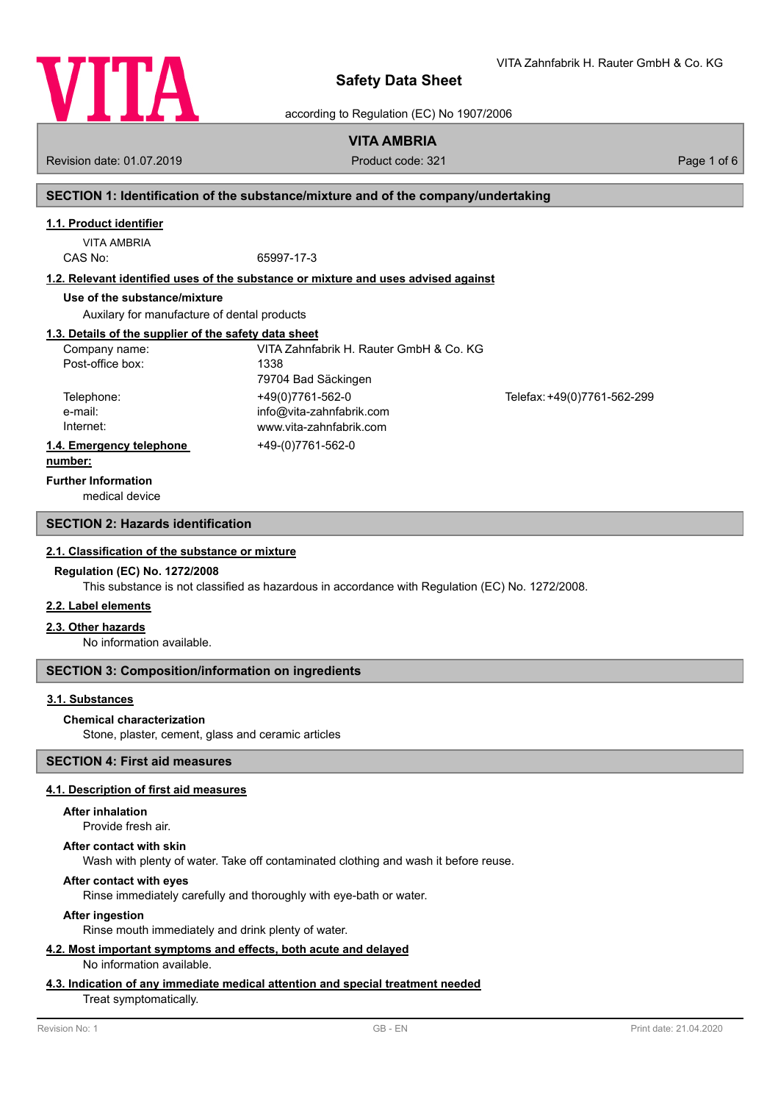

according to Regulation (EC) No 1907/2006

# **VITA AMBRIA**

Revision date: 01.07.2019 **Product code: 321** Product code: 321 **Page 1 of 6** Page 1 of 6

# **SECTION 1: Identification of the substance/mixture and of the company/undertaking**

# **1.1. Product identifier**

VITA AMBRIA CAS No: 65997-17-3

**1.2. Relevant identified uses of the substance or mixture and uses advised against**

### **Use of the substance/mixture**

Auxilary for manufacture of dental products

### **1.3. Details of the supplier of the safety data sheet**

| Company name:            | VITA Zahnfabrik H. Rauter GmbH & Co. KG |                             |
|--------------------------|-----------------------------------------|-----------------------------|
| Post-office box:         | 1338                                    |                             |
|                          | 79704 Bad Säckingen                     |                             |
| Telephone:               | +49(0)7761-562-0                        | Telefax: +49(0)7761-562-299 |
| e-mail:                  | info@vita-zahnfabrik.com                |                             |
| Internet:                | www.vita-zahnfabrik.com                 |                             |
| 1.4. Emergency telephone | +49-(0)7761-562-0                       |                             |
|                          |                                         |                             |

#### **number:**

**Further Information**

medical device

# **SECTION 2: Hazards identification**

# **2.1. Classification of the substance or mixture**

#### **Regulation (EC) No. 1272/2008**

This substance is not classified as hazardous in accordance with Regulation (EC) No. 1272/2008.

### **2.2. Label elements**

## **2.3. Other hazards**

No information available.

## **SECTION 3: Composition/information on ingredients**

## **3.1. Substances**

## **Chemical characterization**

Stone, plaster, cement, glass and ceramic articles

# **SECTION 4: First aid measures**

## **4.1. Description of first aid measures**

### **After inhalation**

Provide fresh air.

#### **After contact with skin**

Wash with plenty of water. Take off contaminated clothing and wash it before reuse.

# **After contact with eyes**

Rinse immediately carefully and thoroughly with eye-bath or water.

#### **After ingestion**

Rinse mouth immediately and drink plenty of water.

#### **4.2. Most important symptoms and effects, both acute and delayed** No information available.

# **4.3. Indication of any immediate medical attention and special treatment needed**

Treat symptomatically.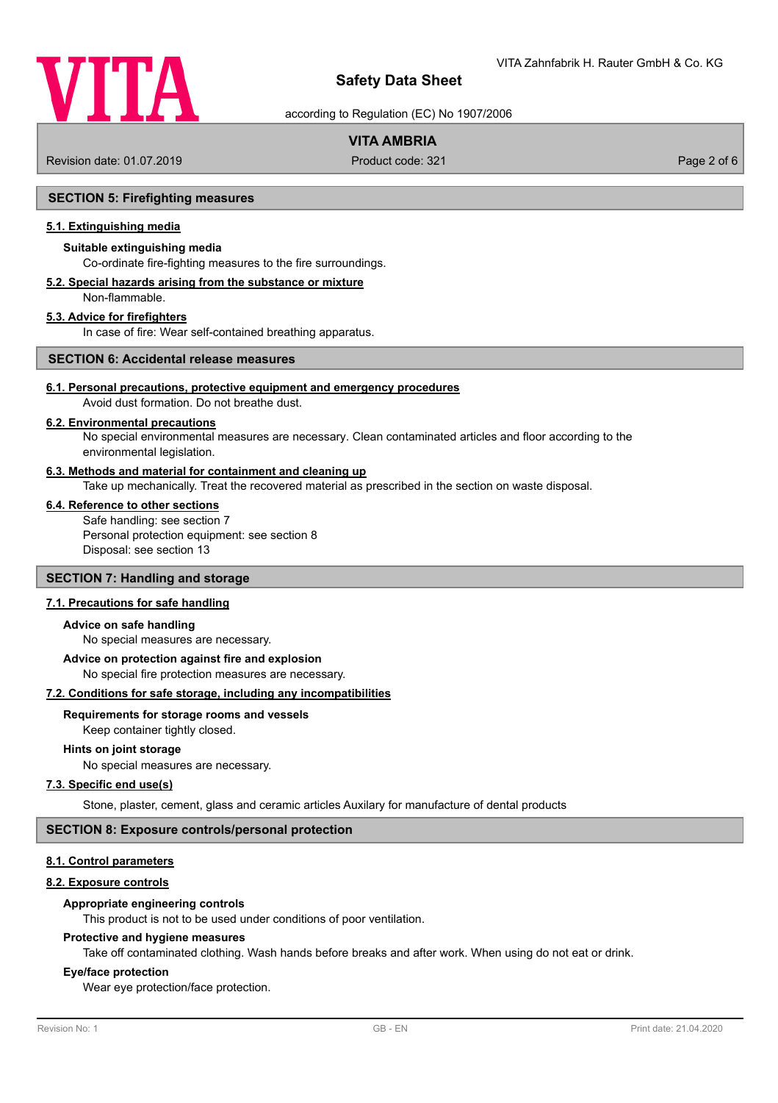

according to Regulation (EC) No 1907/2006

# **VITA AMBRIA**

Revision date: 01.07.2019 **Product code: 321** Product code: 321 **Page 2 of 6** Page 2 of 6

## **SECTION 5: Firefighting measures**

# **5.1. Extinguishing media**

## **Suitable extinguishing media**

Co-ordinate fire-fighting measures to the fire surroundings.

#### **5.2. Special hazards arising from the substance or mixture** Non-flammable.

### **5.3. Advice for firefighters**

In case of fire: Wear self-contained breathing apparatus.

# **SECTION 6: Accidental release measures**

## **6.1. Personal precautions, protective equipment and emergency procedures**

Avoid dust formation. Do not breathe dust.

# **6.2. Environmental precautions**

No special environmental measures are necessary. Clean contaminated articles and floor according to the environmental legislation.

### **6.3. Methods and material for containment and cleaning up**

Take up mechanically. Treat the recovered material as prescribed in the section on waste disposal.

### **6.4. Reference to other sections**

Safe handling: see section 7 Personal protection equipment: see section 8 Disposal: see section 13

# **SECTION 7: Handling and storage**

## **7.1. Precautions for safe handling**

### **Advice on safe handling**

No special measures are necessary.

### **Advice on protection against fire and explosion**

No special fire protection measures are necessary.

### **7.2. Conditions for safe storage, including any incompatibilities**

## **Requirements for storage rooms and vessels**

Keep container tightly closed.

### **Hints on joint storage**

No special measures are necessary.

# **7.3. Specific end use(s)**

Stone, plaster, cement, glass and ceramic articles Auxilary for manufacture of dental products

# **SECTION 8: Exposure controls/personal protection**

## **8.1. Control parameters**

### **8.2. Exposure controls**

### **Appropriate engineering controls**

This product is not to be used under conditions of poor ventilation.

### **Protective and hygiene measures**

Take off contaminated clothing. Wash hands before breaks and after work. When using do not eat or drink.

## **Eye/face protection**

Wear eye protection/face protection.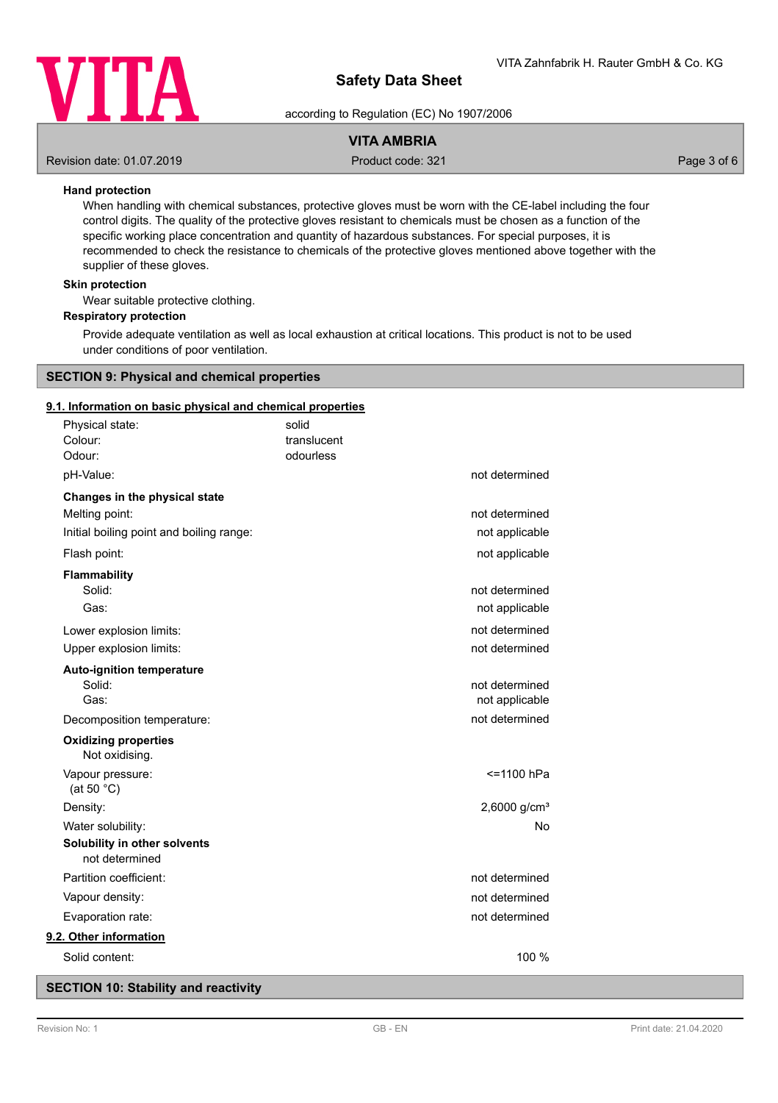

according to Regulation (EC) No 1907/2006

# **VITA AMBRIA**

Revision date: 01.07.2019 **Product code: 321** Product code: 321 **Page 3 of 6** Page 3 of 6

# **Hand protection**

When handling with chemical substances, protective gloves must be worn with the CE-label including the four control digits. The quality of the protective gloves resistant to chemicals must be chosen as a function of the specific working place concentration and quantity of hazardous substances. For special purposes, it is recommended to check the resistance to chemicals of the protective gloves mentioned above together with the supplier of these gloves.

## **Skin protection**

Wear suitable protective clothing.

## **Respiratory protection**

Provide adequate ventilation as well as local exhaustion at critical locations. This product is not to be used under conditions of poor ventilation.

## **SECTION 9: Physical and chemical properties**

### **9.1. Information on basic physical and chemical properties**

| Physical state:<br>Colour:<br>Odour:                                                        | solid<br>translucent<br>odourless |                                  |
|---------------------------------------------------------------------------------------------|-----------------------------------|----------------------------------|
| pH-Value:                                                                                   |                                   | not determined                   |
| Changes in the physical state<br>Melting point:<br>Initial boiling point and boiling range: |                                   | not determined<br>not applicable |
| Flash point:                                                                                |                                   | not applicable                   |
| <b>Flammability</b><br>Solid:<br>Gas:                                                       |                                   | not determined<br>not applicable |
| Lower explosion limits:<br>Upper explosion limits:                                          |                                   | not determined<br>not determined |
| <b>Auto-ignition temperature</b><br>Solid:<br>Gas:                                          |                                   | not determined<br>not applicable |
| Decomposition temperature:                                                                  |                                   | not determined                   |
| <b>Oxidizing properties</b><br>Not oxidising.                                               |                                   |                                  |
| Vapour pressure:<br>(at 50 $°C$ )                                                           |                                   | <=1100 hPa                       |
| Density:                                                                                    |                                   | 2,6000 $g/cm^{3}$                |
| Water solubility:                                                                           |                                   | No                               |
| Solubility in other solvents<br>not determined                                              |                                   |                                  |
| Partition coefficient:                                                                      |                                   | not determined                   |
| Vapour density:                                                                             |                                   | not determined                   |
| Evaporation rate:                                                                           |                                   | not determined                   |
| 9.2. Other information                                                                      |                                   |                                  |
| Solid content:                                                                              |                                   | 100 %                            |

# **SECTION 10: Stability and reactivity**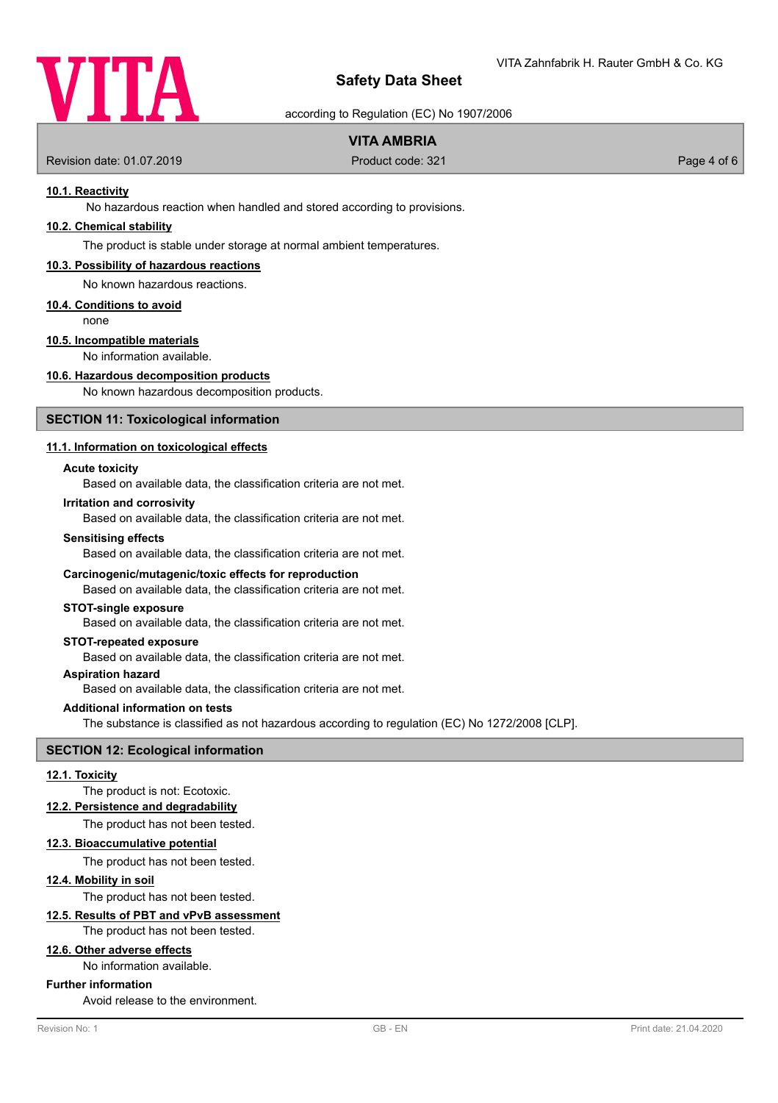

according to Regulation (EC) No 1907/2006

# **VITA AMBRIA**

Revision date: 01.07.2019 **Product code: 321** Product code: 321 **Page 4 of 6** 

## **10.1. Reactivity**

No hazardous reaction when handled and stored according to provisions.

# **10.2. Chemical stability**

The product is stable under storage at normal ambient temperatures.

## **10.3. Possibility of hazardous reactions**

No known hazardous reactions.

#### **10.4. Conditions to avoid**

none

# **10.5. Incompatible materials**

No information available.

## **10.6. Hazardous decomposition products**

No known hazardous decomposition products.

## **SECTION 11: Toxicological information**

### **11.1. Information on toxicological effects**

#### **Acute toxicity**

Based on available data, the classification criteria are not met.

#### **Irritation and corrosivity**

Based on available data, the classification criteria are not met.

#### **Sensitising effects**

Based on available data, the classification criteria are not met.

#### **Carcinogenic/mutagenic/toxic effects for reproduction**

Based on available data, the classification criteria are not met.

# **STOT-single exposure**

Based on available data, the classification criteria are not met.

## **STOT-repeated exposure**

Based on available data, the classification criteria are not met.

# **Aspiration hazard**

Based on available data, the classification criteria are not met.

## **Additional information on tests**

The substance is classified as not hazardous according to regulation (EC) No 1272/2008 [CLP].

### **SECTION 12: Ecological information**

#### **12.1. Toxicity**

The product is not: Ecotoxic.

#### **12.2. Persistence and degradability**

The product has not been tested.

#### **12.3. Bioaccumulative potential**

The product has not been tested.

#### **12.4. Mobility in soil**

The product has not been tested.

## **12.5. Results of PBT and vPvB assessment**

The product has not been tested.

# **12.6. Other adverse effects**

No information available.

## **Further information**

Avoid release to the environment.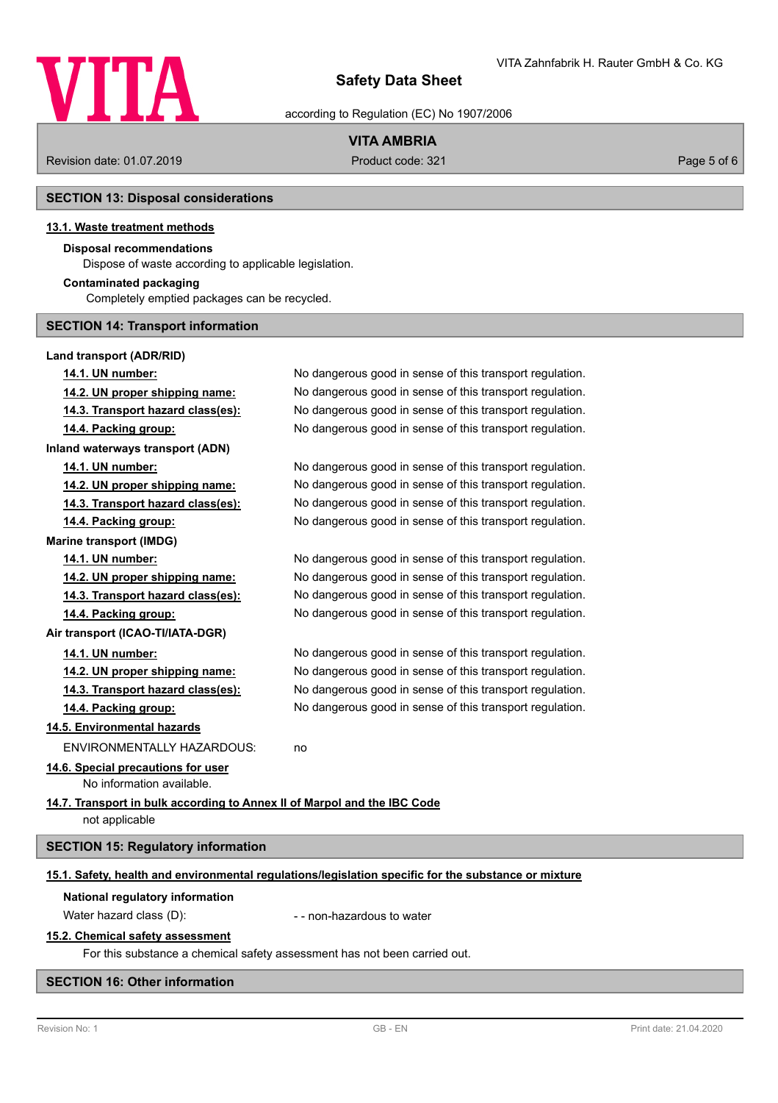

according to Regulation (EC) No 1907/2006

# **VITA AMBRIA**

Revision date: 01.07.2019 **Product code: 321** Product code: 321 **Page 5 of 6** Page 5 of 6

# **SECTION 13: Disposal considerations**

# **13.1. Waste treatment methods**

# **Disposal recommendations**

Dispose of waste according to applicable legislation.

## **Contaminated packaging**

Completely emptied packages can be recycled.

# **SECTION 14: Transport information**

# **Land transport (ADR/RID)**

| 14.1. UN number:                                                                                     | No dangerous good in sense of this transport regulation. |  |
|------------------------------------------------------------------------------------------------------|----------------------------------------------------------|--|
| 14.2. UN proper shipping name:                                                                       | No dangerous good in sense of this transport regulation. |  |
| 14.3. Transport hazard class(es):                                                                    | No dangerous good in sense of this transport regulation. |  |
| 14.4. Packing group:                                                                                 | No dangerous good in sense of this transport regulation. |  |
| Inland waterways transport (ADN)                                                                     |                                                          |  |
| 14.1. UN number:                                                                                     | No dangerous good in sense of this transport regulation. |  |
| 14.2. UN proper shipping name:                                                                       | No dangerous good in sense of this transport regulation. |  |
| 14.3. Transport hazard class(es):                                                                    | No dangerous good in sense of this transport regulation. |  |
| 14.4. Packing group:                                                                                 | No dangerous good in sense of this transport regulation. |  |
| <b>Marine transport (IMDG)</b>                                                                       |                                                          |  |
| 14.1. UN number:                                                                                     | No dangerous good in sense of this transport regulation. |  |
| 14.2. UN proper shipping name:                                                                       | No dangerous good in sense of this transport regulation. |  |
| 14.3. Transport hazard class(es):                                                                    | No dangerous good in sense of this transport regulation. |  |
| 14.4. Packing group:                                                                                 | No dangerous good in sense of this transport regulation. |  |
| Air transport (ICAO-TI/IATA-DGR)                                                                     |                                                          |  |
| 14.1. UN number:                                                                                     | No dangerous good in sense of this transport regulation. |  |
| 14.2. UN proper shipping name:                                                                       | No dangerous good in sense of this transport regulation. |  |
| 14.3. Transport hazard class(es):                                                                    | No dangerous good in sense of this transport regulation. |  |
| 14.4. Packing group:                                                                                 | No dangerous good in sense of this transport regulation. |  |
| 14.5. Environmental hazards                                                                          |                                                          |  |
| <b>ENVIRONMENTALLY HAZARDOUS:</b>                                                                    | no                                                       |  |
| 14.6. Special precautions for user<br>No information available.                                      |                                                          |  |
| 14.7. Transport in bulk according to Annex II of Marpol and the IBC Code<br>not applicable           |                                                          |  |
| <b>SECTION 15: Regulatory information</b>                                                            |                                                          |  |
| 15.1. Safety, health and environmental regulations/legislation specific for the substance or mixture |                                                          |  |

# **National regulatory information**

Water hazard class (D):  $\blacksquare$  - non-hazardous to water

## **15.2. Chemical safety assessment**

For this substance a chemical safety assessment has not been carried out.

# **SECTION 16: Other information**